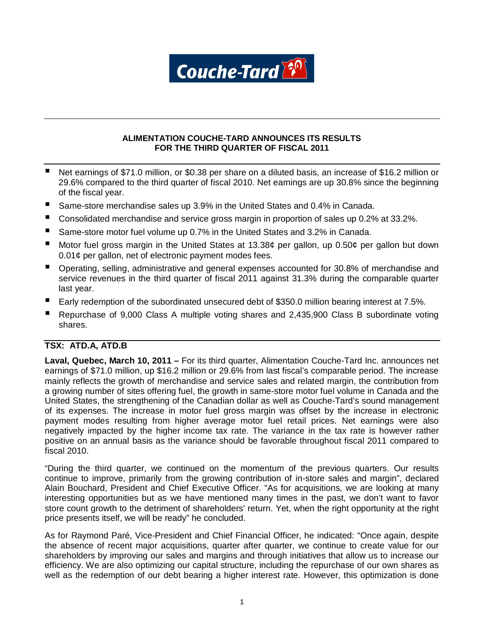

## **ALIMENTATION COUCHE-TARD ANNOUNCES ITS RESULTS FOR THE THIRD QUARTER OF FISCAL 2011**

- Net earnings of \$71.0 million, or \$0.38 per share on a diluted basis, an increase of \$16.2 million or 29.6% compared to the third quarter of fiscal 2010. Net earnings are up 30.8% since the beginning of the fiscal year.
- Same-store merchandise sales up 3.9% in the United States and 0.4% in Canada.
- Consolidated merchandise and service gross margin in proportion of sales up 0.2% at 33.2%.
- Same-store motor fuel volume up 0.7% in the United States and 3.2% in Canada.
- Motor fuel gross margin in the United States at 13.38¢ per gallon, up 0.50¢ per gallon but down 0.01¢ per gallon, net of electronic payment modes fees.
- Operating, selling, administrative and general expenses accounted for 30.8% of merchandise and service revenues in the third quarter of fiscal 2011 against 31.3% during the comparable quarter last year.
- Early redemption of the subordinated unsecured debt of \$350.0 million bearing interest at 7.5%.
- Repurchase of 9,000 Class A multiple voting shares and 2,435,900 Class B subordinate voting shares.

# **TSX: ATD.A, ATD.B**

**Laval, Quebec, March 10, 2011 –** For its third quarter, Alimentation Couche-Tard Inc. announces net earnings of \$71.0 million, up \$16.2 million or 29.6% from last fiscal's comparable period. The increase mainly reflects the growth of merchandise and service sales and related margin, the contribution from a growing number of sites offering fuel, the growth in same-store motor fuel volume in Canada and the United States, the strengthening of the Canadian dollar as well as Couche-Tard's sound management of its expenses. The increase in motor fuel gross margin was offset by the increase in electronic payment modes resulting from higher average motor fuel retail prices. Net earnings were also negatively impacted by the higher income tax rate. The variance in the tax rate is however rather positive on an annual basis as the variance should be favorable throughout fiscal 2011 compared to fiscal 2010.

"During the third quarter, we continued on the momentum of the previous quarters. Our results continue to improve, primarily from the growing contribution of in-store sales and margin", declared Alain Bouchard, President and Chief Executive Officer. "As for acquisitions, we are looking at many interesting opportunities but as we have mentioned many times in the past, we don't want to favor store count growth to the detriment of shareholders' return. Yet, when the right opportunity at the right price presents itself, we will be ready" he concluded.

As for Raymond Paré, Vice-President and Chief Financial Officer, he indicated: "Once again, despite the absence of recent major acquisitions, quarter after quarter, we continue to create value for our shareholders by improving our sales and margins and through initiatives that allow us to increase our efficiency. We are also optimizing our capital structure, including the repurchase of our own shares as well as the redemption of our debt bearing a higher interest rate. However, this optimization is done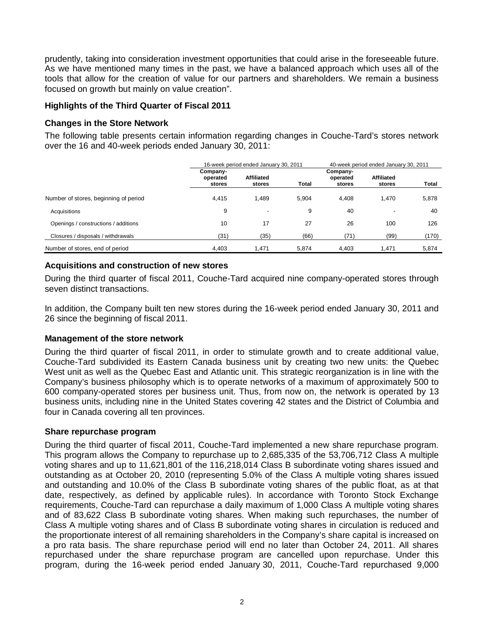prudently, taking into consideration investment opportunities that could arise in the foreseeable future. As we have mentioned many times in the past, we have a balanced approach which uses all of the tools that allow for the creation of value for our partners and shareholders. We remain a business focused on growth but mainly on value creation".

# **Highlights of the Third Quarter of Fiscal 2011**

# **Changes in the Store Network**

The following table presents certain information regarding changes in Couche-Tard's stores network over the 16 and 40-week periods ended January 30, 2011:

|                                       |                                | 16-week period ended January 30, 2011 |       |                                | 40-week period ended January 30, 2011 |       |  |
|---------------------------------------|--------------------------------|---------------------------------------|-------|--------------------------------|---------------------------------------|-------|--|
|                                       | Company-<br>operated<br>stores | <b>Affiliated</b><br>stores           | Total | Company-<br>operated<br>stores | <b>Affiliated</b><br>stores           | Total |  |
| Number of stores, beginning of period | 4,415                          | 1.489                                 | 5.904 | 4,408                          | 1.470                                 | 5,878 |  |
| Acquisitions                          | 9                              |                                       | 9     | 40                             |                                       | 40    |  |
| Openings / constructions / additions  | 10                             | 17                                    | 27    | 26                             | 100                                   | 126   |  |
| Closures / disposals / withdrawals    | (31)                           | (35)                                  | (66)  | (71)                           | (99)                                  | (170) |  |
| Number of stores, end of period       | 4.403                          | 1.471                                 | 5.874 | 4.403                          | 1.471                                 | 5.874 |  |

# **Acquisitions and construction of new stores**

During the third quarter of fiscal 2011, Couche-Tard acquired nine company-operated stores through seven distinct transactions.

In addition, the Company built ten new stores during the 16-week period ended January 30, 2011 and 26 since the beginning of fiscal 2011.

## **Management of the store network**

During the third quarter of fiscal 2011, in order to stimulate growth and to create additional value, Couche-Tard subdivided its Eastern Canada business unit by creating two new units: the Quebec West unit as well as the Quebec East and Atlantic unit. This strategic reorganization is in line with the Company's business philosophy which is to operate networks of a maximum of approximately 500 to 600 company-operated stores per business unit. Thus, from now on, the network is operated by 13 business units, including nine in the United States covering 42 states and the District of Columbia and four in Canada covering all ten provinces.

## **Share repurchase program**

During the third quarter of fiscal 2011, Couche-Tard implemented a new share repurchase program. This program allows the Company to repurchase up to 2,685,335 of the 53,706,712 Class A multiple voting shares and up to 11,621,801 of the 116,218,014 Class B subordinate voting shares issued and outstanding as at October 20, 2010 (representing 5.0% of the Class A multiple voting shares issued and outstanding and 10.0% of the Class B subordinate voting shares of the public float, as at that date, respectively, as defined by applicable rules). In accordance with Toronto Stock Exchange requirements, Couche-Tard can repurchase a daily maximum of 1,000 Class A multiple voting shares and of 83,622 Class B subordinate voting shares. When making such repurchases, the number of Class A multiple voting shares and of Class B subordinate voting shares in circulation is reduced and the proportionate interest of all remaining shareholders in the Company's share capital is increased on a pro rata basis. The share repurchase period will end no later than October 24, 2011. All shares repurchased under the share repurchase program are cancelled upon repurchase. Under this program, during the 16-week period ended January 30, 2011, Couche-Tard repurchased 9,000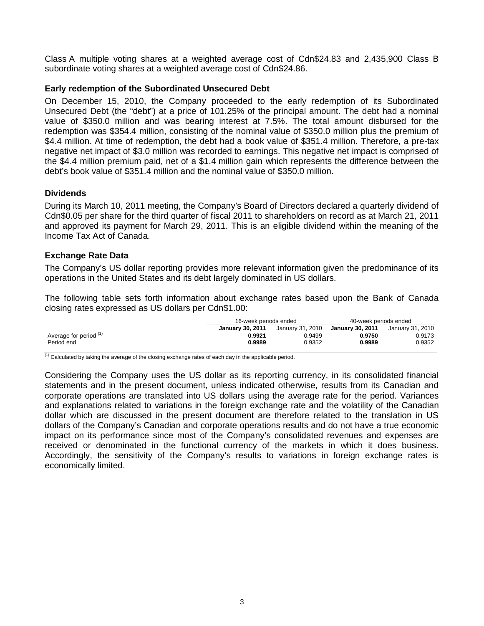Class A multiple voting shares at a weighted average cost of Cdn\$24.83 and 2,435,900 Class B subordinate voting shares at a weighted average cost of Cdn\$24.86.

## **Early redemption of the Subordinated Unsecured Debt**

On December 15, 2010, the Company proceeded to the early redemption of its Subordinated Unsecured Debt (the "debt") at a price of 101.25% of the principal amount. The debt had a nominal value of \$350.0 million and was bearing interest at 7.5%. The total amount disbursed for the redemption was \$354.4 million, consisting of the nominal value of \$350.0 million plus the premium of \$4.4 million. At time of redemption, the debt had a book value of \$351.4 million. Therefore, a pre-tax negative net impact of \$3.0 million was recorded to earnings. This negative net impact is comprised of the \$4.4 million premium paid, net of a \$1.4 million gain which represents the difference between the debt's book value of \$351.4 million and the nominal value of \$350.0 million.

## **Dividends**

During its March 10, 2011 meeting, the Company's Board of Directors declared a quarterly dividend of Cdn\$0.05 per share for the third quarter of fiscal 2011 to shareholders on record as at March 21, 2011 and approved its payment for March 29, 2011. This is an eligible dividend within the meaning of the Income Tax Act of Canada.

## **Exchange Rate Data**

The Company's US dollar reporting provides more relevant information given the predominance of its operations in the United States and its debt largely dominated in US dollars.

The following table sets forth information about exchange rates based upon the Bank of Canada closing rates expressed as US dollars per Cdn\$1.00:

|                        | 16-week periods ended   |                  | 40-week periods ended |                  |
|------------------------|-------------------------|------------------|-----------------------|------------------|
|                        | <b>January 30, 2011</b> | January 31, 2010 | January 30, 2011      | January 31, 2010 |
| Average for period (1) | 0.9921                  | 0.9499           | 0.9750                | 0.9173           |
| Period end             | 0.9989                  | 0.9352           | 0.9989                | 0.9352           |

 $(1)$  Calculated by taking the average of the closing exchange rates of each day in the applicable period.

Considering the Company uses the US dollar as its reporting currency, in its consolidated financial statements and in the present document, unless indicated otherwise, results from its Canadian and corporate operations are translated into US dollars using the average rate for the period. Variances and explanations related to variations in the foreign exchange rate and the volatility of the Canadian dollar which are discussed in the present document are therefore related to the translation in US dollars of the Company's Canadian and corporate operations results and do not have a true economic impact on its performance since most of the Company's consolidated revenues and expenses are received or denominated in the functional currency of the markets in which it does business. Accordingly, the sensitivity of the Company's results to variations in foreign exchange rates is economically limited.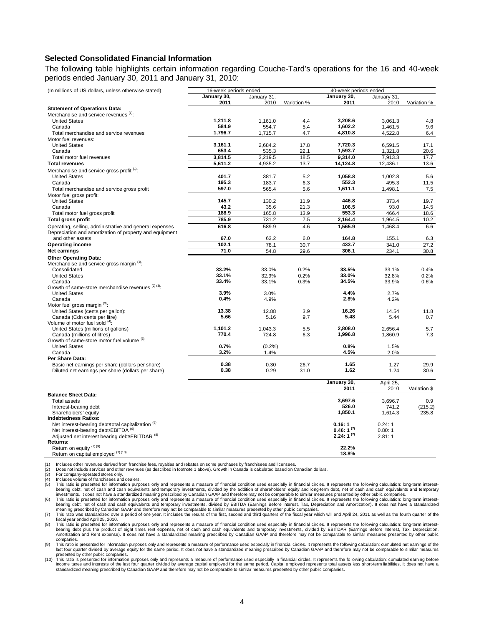### **Selected Consolidated Financial Information**

The following table highlights certain information regarding Couche-Tard's operations for the 16 and 40-week periods ended January 30, 2011 and January 31, 2010:

| (In millions of US dollars, unless otherwise stated)          | 16-week periods ended |             |             | 40-week periods ended |             |              |  |
|---------------------------------------------------------------|-----------------------|-------------|-------------|-----------------------|-------------|--------------|--|
|                                                               | January 30,           | January 31, |             | January 30,           | January 31, |              |  |
|                                                               | 2011                  | 2010        | Variation % | 2011                  | 2010        | Variation %  |  |
| <b>Statement of Operations Data:</b>                          |                       |             |             |                       |             |              |  |
| Merchandise and service revenues (1):                         |                       |             |             |                       |             |              |  |
| <b>United States</b>                                          | 1,211.8               | 1,161.0     | 4.4         | 3,208.6               | 3,061.3     | 4.8          |  |
| Canada                                                        | 584.9                 | 554.7       | 5.4         | 1,602.2               | 1,461.5     | 9.6          |  |
| Total merchandise and service revenues                        | 1,796.7               | 1,715.7     | 4.7         | 4,810.8               | 4,522.8     | 6.4          |  |
| Motor fuel revenues:                                          |                       |             |             |                       |             |              |  |
| <b>United States</b>                                          | 3,161.1               | 2.684.2     | 17.8        | 7,720.3               | 6.591.5     | 17.1         |  |
| Canada                                                        | 653.4                 | 535.3       | 22.1        | 1,593.7               | 1,321.8     | 20.6         |  |
| Total motor fuel revenues                                     | 3,814.5               | 3,219.5     | 18.5        | 9,314.0               | 7,913.3     | 17.7         |  |
| <b>Total revenues</b>                                         | 5,611.2               | 4,935.2     | 13.7        | 14,124.8              | 12,436.1    | 13.6         |  |
| Merchandise and service gross profit <sup>(1)</sup> :         |                       |             |             |                       |             |              |  |
| <b>United States</b>                                          | 401.7                 | 381.7       | 5.2         | 1,058.8               | 1,002.8     | 5.6          |  |
| Canada                                                        | 195.3                 | 183.7       | 6.3         | 552.3                 | 495.3       | 11.5         |  |
| Total merchandise and service gross profit                    | 597.0                 | 565.4       | 5.6         | 1,611.1               | 1,498.1     | 7.5          |  |
| Motor fuel gross profit:                                      |                       |             |             |                       |             |              |  |
| <b>United States</b>                                          | 145.7                 | 130.2       | 11.9        | 446.8                 | 373.4       | 19.7         |  |
| Canada                                                        | 43.2                  | 35.6        | 21.3        | 106.5                 | 93.0        | 14.5         |  |
| Total motor fuel gross profit                                 | 188.9                 | 165.8       | 13.9        | 553.3                 | 466.4       | 18.6         |  |
| <b>Total gross profit</b>                                     | 785.9                 | 731.2       | 7.5         | 2,164.4               | 1,964.5     | 10.2         |  |
| Operating, selling, administrative and general expenses       | 616.8                 | 589.9       | 4.6         | 1,565.9               | 1,468.4     | 6.6          |  |
| Depreciation and amortization of property and equipment       |                       |             |             |                       |             |              |  |
| and other assets                                              | 67.0                  | 63.2        | 6.0         | 164.8                 | 155.1       | 6.3          |  |
| <b>Operating income</b>                                       | 102.1                 | 78.1        | 30.7        | 433.7                 | 341.0       | 27.2         |  |
| Net earnings                                                  | 71.0                  | 54.8        | 29.6        | 306.1                 | 234.1       | 30.8         |  |
|                                                               |                       |             |             |                       |             |              |  |
| <b>Other Operating Data:</b>                                  |                       |             |             |                       |             |              |  |
| Merchandise and service gross margin (1):                     |                       |             |             | 33.5%                 |             | 0.4%         |  |
| Consolidated                                                  | 33.2%                 | 33.0%       | 0.2%        |                       | 33.1%       |              |  |
| <b>United States</b>                                          | 33.1%                 | 32.9%       | 0.2%        | 33.0%                 | 32.8%       | 0.2%         |  |
| Canada<br>Growth of same-store merchandise revenues (2) (3):  | 33.4%                 | 33.1%       | 0.3%        | 34.5%                 | 33.9%       | 0.6%         |  |
| <b>United States</b>                                          | 3.9%                  | 3.0%        |             | 4.4%                  | 2.7%        |              |  |
| Canada                                                        | 0.4%                  |             |             | 2.8%                  | 4.2%        |              |  |
| Motor fuel gross margin (3):                                  |                       | 4.9%        |             |                       |             |              |  |
| United States (cents per gallon):                             | 13.38                 | 12.88       | 3.9         | 16.26                 | 14.54       | 11.8         |  |
| Canada (Cdn cents per litre)                                  | 5.66                  | 5.16        | 9.7         | 5.48                  | 5.44        | 0.7          |  |
| Volume of motor fuel sold (4):                                |                       |             |             |                       |             |              |  |
| United States (millions of gallons)                           | 1.101.2               | 1,043.3     | 5.5         | 2.808.0               | 2,656.4     | 5.7          |  |
| Canada (millions of litres)                                   | 770.4                 | 724.8       | 6.3         | 1,996.8               | 1,860.9     | 7.3          |  |
| Growth of same-store motor fuel volume (3):                   |                       |             |             |                       |             |              |  |
| <b>United States</b>                                          | 0.7%                  | (0.2%)      |             | 0.8%                  | 1.5%        |              |  |
| Canada                                                        | 3.2%                  | 1.4%        |             | 4.5%                  | 2.0%        |              |  |
| Per Share Data:                                               |                       |             |             |                       |             |              |  |
| Basic net earnings per share (dollars per share)              | 0.38                  | 0.30        | 26.7        | 1.65                  | 1.27        | 29.9         |  |
| Diluted net earnings per share (dollars per share)            | 0.38                  | 0.29        | 31.0        | 1.62                  | 1.24        | 30.6         |  |
|                                                               |                       |             |             |                       |             |              |  |
|                                                               |                       |             |             | January 30,           | April 25,   |              |  |
|                                                               |                       |             |             | 2011                  | 2010        | Variation \$ |  |
| <b>Balance Sheet Data:</b>                                    |                       |             |             |                       |             |              |  |
| <b>Total assets</b>                                           |                       |             |             | 3,697.6               | 3,696.7     | 0.9          |  |
| Interest-bearing debt                                         |                       |             |             | 526.0                 | 741.2       | (215.2)      |  |
| Shareholders' equity                                          |                       |             |             | 1,850.1               | 1,614.3     | 235.8        |  |
| <b>Indebtedness Ratios:</b>                                   |                       |             |             |                       |             |              |  |
| Net interest-bearing debt/total capitalization <sup>(5)</sup> |                       |             |             | 0.16:1                | 0.24:1      |              |  |
| Net interest-bearing debt/EBITDA <sup>(6)</sup>               |                       |             |             | $0.46:1^{(7)}$        | 0.80:1      |              |  |
| Adjusted net interest bearing debt/EBITDAR <sup>(8)</sup>     |                       |             |             | $2.24:1^{(7)}$        | 2.81:1      |              |  |
| Returns:                                                      |                       |             |             |                       |             |              |  |
| Return on equity (7) (9)                                      |                       |             |             | 22.2%                 |             |              |  |
| Return on capital employed (7) (10)                           |                       |             |             | 18.8%                 |             |              |  |

(1) Includes other revenues derived from franchise fees, royalties and rebates on some purchases by franchisees and licensees.

(2) Does not include services and other revenues (as described in footnote 1 above). Growth in Canada is calculated based on Canadian dollars.<br>(3) For company-operated stores only.

(3) For company-operated stores only.<br>
(4) Includes volume of franchisees and<br>
(5) This ratio is presented for informal Includes volume of franchisees and dealers.

This ratio is presented for information purposes only and represents a measure of financial condition used especially in financial circles. It represents the following calculation: long-term interest-<br>This ratio is present bearing debt, net of cash and cash equivalents and temporary investments, divided by the addition of shareholders' equity and long-term debt, net of cash and cash equivalents and temporary<br>investments. It does not have a s

bearing debt, net of cash and cash equivalents and temporary investments, divided by EBITDA (Earnings Before Interest, Tax, Depreciation and Amortization). It does not have a standardized<br>meaning prescribed by Canadian GAA

fiscal year ended April 25, 2010.

(8) This ratio is presented for information purposes only and represents a measure of financial condition used especially in financial circles. It represents the following calculation: long-term interestbearing debt plus the product of eight times rent expense, net of cash and cash equivalents and temporary investments, divided by EBITDAR (Earnings Before Interest, Tax, Depreciation,<br>Amortization and Rent expense). It doe

companies.<br>(9) This ratio is presented for information purposes only and represents a measure of performance used especially in financial circles. It represents the following calculation: cumulated net earnings of the<br>Iast

presented by other public companies.<br>(10) This ratio is presented for information purposes only and represents a measure of performance used especially in financial circles. It represents the following calculation: cumulat income taxes and interests of the last four quarter divided by average capital employed for the same period. Capital employed represents total assets less short-term liabilities. It does not have a<br>standardized meaning pre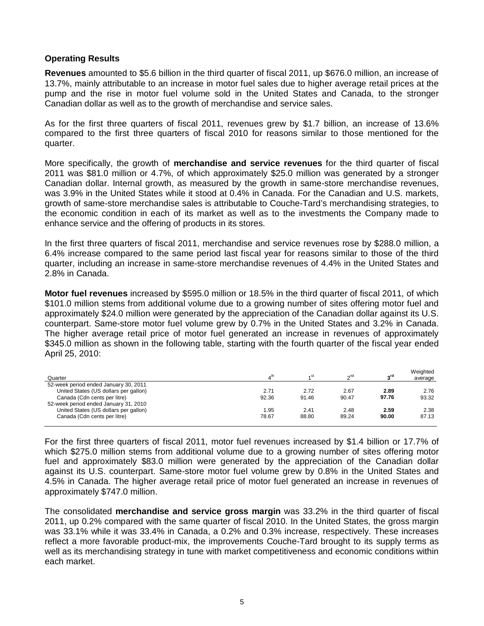# **Operating Results**

**Revenues** amounted to \$5.6 billion in the third quarter of fiscal 2011, up \$676.0 million, an increase of 13.7%, mainly attributable to an increase in motor fuel sales due to higher average retail prices at the pump and the rise in motor fuel volume sold in the United States and Canada, to the stronger Canadian dollar as well as to the growth of merchandise and service sales.

As for the first three quarters of fiscal 2011, revenues grew by \$1.7 billion, an increase of 13.6% compared to the first three quarters of fiscal 2010 for reasons similar to those mentioned for the quarter.

More specifically, the growth of **merchandise and service revenues** for the third quarter of fiscal 2011 was \$81.0 million or 4.7%, of which approximately \$25.0 million was generated by a stronger Canadian dollar. Internal growth, as measured by the growth in same-store merchandise revenues, was 3.9% in the United States while it stood at 0.4% in Canada. For the Canadian and U.S. markets, growth of same-store merchandise sales is attributable to Couche-Tard's merchandising strategies, to the economic condition in each of its market as well as to the investments the Company made to enhance service and the offering of products in its stores.

In the first three quarters of fiscal 2011, merchandise and service revenues rose by \$288.0 million, a 6.4% increase compared to the same period last fiscal year for reasons similar to those of the third quarter, including an increase in same-store merchandise revenues of 4.4% in the United States and 2.8% in Canada.

**Motor fuel revenues** increased by \$595.0 million or 18.5% in the third quarter of fiscal 2011, of which \$101.0 million stems from additional volume due to a growing number of sites offering motor fuel and approximately \$24.0 million were generated by the appreciation of the Canadian dollar against its U.S. counterpart. Same-store motor fuel volume grew by 0.7% in the United States and 3.2% in Canada. The higher average retail price of motor fuel generated an increase in revenues of approximately \$345.0 million as shown in the following table, starting with the fourth quarter of the fiscal year ended April 25, 2010:

| Quarter                               |       |       | n <sup>nc</sup> | rdی-  | Weighted<br>average |
|---------------------------------------|-------|-------|-----------------|-------|---------------------|
| 52-week period ended January 30, 2011 |       |       |                 |       |                     |
| United States (US dollars per gallon) | 2.71  | 2.72  | 2.67            | 2.89  | 2.76                |
| Canada (Cdn cents per litre)          | 92.36 | 91.46 | 90.47           | 97.76 | 93.32               |
| 52-week period ended January 31, 2010 |       |       |                 |       |                     |
| United States (US dollars per gallon) | 1.95  | 2.41  | 2.48            | 2.59  | 2.38                |
| Canada (Cdn cents per litre)          | 78.67 | 88.80 | 89.24           | 90.00 | 87.13               |
|                                       |       |       |                 |       |                     |

For the first three quarters of fiscal 2011, motor fuel revenues increased by \$1.4 billion or 17.7% of which \$275.0 million stems from additional volume due to a growing number of sites offering motor fuel and approximately \$83.0 million were generated by the appreciation of the Canadian dollar against its U.S. counterpart. Same-store motor fuel volume grew by 0.8% in the United States and 4.5% in Canada. The higher average retail price of motor fuel generated an increase in revenues of approximately \$747.0 million.

The consolidated **merchandise and service gross margin** was 33.2% in the third quarter of fiscal 2011, up 0.2% compared with the same quarter of fiscal 2010. In the United States, the gross margin was 33.1% while it was 33.4% in Canada, a 0.2% and 0.3% increase, respectively. These increases reflect a more favorable product-mix, the improvements Couche-Tard brought to its supply terms as well as its merchandising strategy in tune with market competitiveness and economic conditions within each market.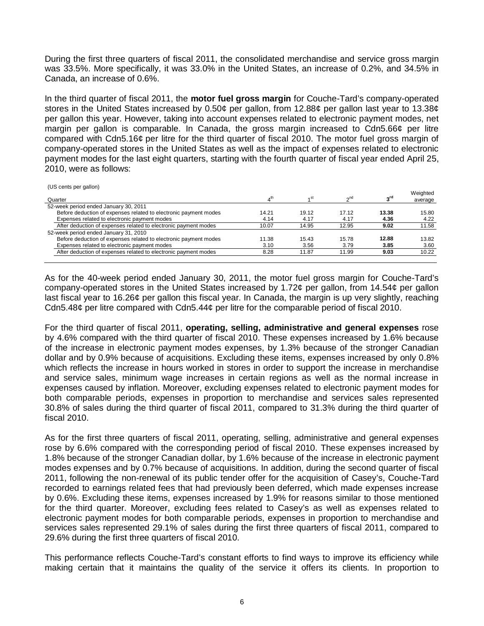During the first three quarters of fiscal 2011, the consolidated merchandise and service gross margin was 33.5%. More specifically, it was 33.0% in the United States, an increase of 0.2%, and 34.5% in Canada, an increase of 0.6%.

In the third quarter of fiscal 2011, the **motor fuel gross margin** for Couche-Tard's company-operated stores in the United States increased by 0.50¢ per gallon, from 12.88¢ per gallon last year to 13.38¢ per gallon this year. However, taking into account expenses related to electronic payment modes, net margin per gallon is comparable. In Canada, the gross margin increased to Cdn5.66¢ per litre compared with Cdn5.16¢ per litre for the third quarter of fiscal 2010. The motor fuel gross margin of company-operated stores in the United States as well as the impact of expenses related to electronic payment modes for the last eight quarters, starting with the fourth quarter of fiscal year ended April 25, 2010, were as follows:

| (US cents per gallon)<br>Quarter                                 | 4 <sup>th</sup> | 4 <sup>St</sup> | $\gamma$ <sup>nd</sup> | $3^{\text{rd}}$ | Weighted<br>average |
|------------------------------------------------------------------|-----------------|-----------------|------------------------|-----------------|---------------------|
| 52-week period ended January 30, 2011                            |                 |                 |                        |                 |                     |
| Before deduction of expenses related to electronic payment modes | 14.21           | 19.12           | 17.12                  | 13.38           | 15.80               |
| Expenses related to electronic payment modes                     | 4.14            | 4.17            | 4.17                   | 4.36            | 4.22                |
| After deduction of expenses related to electronic payment modes  | 10.07           | 14.95           | 12.95                  | 9.02            | 11.58               |
| 52-week period ended January 31, 2010                            |                 |                 |                        |                 |                     |
| Before deduction of expenses related to electronic payment modes | 11.38           | 15.43           | 15.78                  | 12.88           | 13.82               |
| Expenses related to electronic payment modes                     | 3.10            | 3.56            | 3.79                   | 3.85            | 3.60                |
| After deduction of expenses related to electronic payment modes  | 8.28            | 11.87           | 11.99                  | 9.03            | 10.22               |

As for the 40-week period ended January 30, 2011, the motor fuel gross margin for Couche-Tard's company-operated stores in the United States increased by 1.72¢ per gallon, from 14.54¢ per gallon last fiscal year to 16.26¢ per gallon this fiscal year. In Canada, the margin is up very slightly, reaching Cdn5.48¢ per litre compared with Cdn5.44¢ per litre for the comparable period of fiscal 2010.

For the third quarter of fiscal 2011, **operating, selling, administrative and general expenses** rose by 4.6% compared with the third quarter of fiscal 2010. These expenses increased by 1.6% because of the increase in electronic payment modes expenses, by 1.3% because of the stronger Canadian dollar and by 0.9% because of acquisitions. Excluding these items, expenses increased by only 0.8% which reflects the increase in hours worked in stores in order to support the increase in merchandise and service sales, minimum wage increases in certain regions as well as the normal increase in expenses caused by inflation. Moreover, excluding expenses related to electronic payment modes for both comparable periods, expenses in proportion to merchandise and services sales represented 30.8% of sales during the third quarter of fiscal 2011, compared to 31.3% during the third quarter of fiscal 2010.

As for the first three quarters of fiscal 2011, operating, selling, administrative and general expenses rose by 6.6% compared with the corresponding period of fiscal 2010. These expenses increased by 1.8% because of the stronger Canadian dollar, by 1.6% because of the increase in electronic payment modes expenses and by 0.7% because of acquisitions. In addition, during the second quarter of fiscal 2011, following the non-renewal of its public tender offer for the acquisition of Casey's, Couche-Tard recorded to earnings related fees that had previously been deferred, which made expenses increase by 0.6%. Excluding these items, expenses increased by 1.9% for reasons similar to those mentioned for the third quarter. Moreover, excluding fees related to Casey's as well as expenses related to electronic payment modes for both comparable periods, expenses in proportion to merchandise and services sales represented 29.1% of sales during the first three quarters of fiscal 2011, compared to 29.6% during the first three quarters of fiscal 2010.

This performance reflects Couche-Tard's constant efforts to find ways to improve its efficiency while making certain that it maintains the quality of the service it offers its clients. In proportion to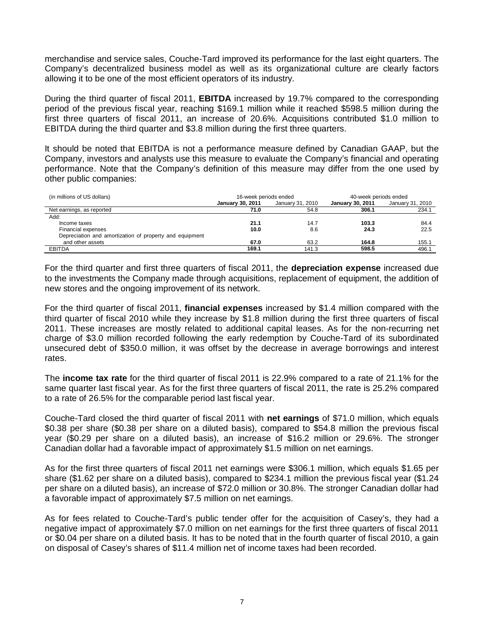merchandise and service sales, Couche-Tard improved its performance for the last eight quarters. The Company's decentralized business model as well as its organizational culture are clearly factors allowing it to be one of the most efficient operators of its industry.

During the third quarter of fiscal 2011, **EBITDA** increased by 19.7% compared to the corresponding period of the previous fiscal year, reaching \$169.1 million while it reached \$598.5 million during the first three quarters of fiscal 2011, an increase of 20.6%. Acquisitions contributed \$1.0 million to EBITDA during the third quarter and \$3.8 million during the first three quarters.

It should be noted that EBITDA is not a performance measure defined by Canadian GAAP, but the Company, investors and analysts use this measure to evaluate the Company's financial and operating performance. Note that the Company's definition of this measure may differ from the one used by other public companies:

| (in millions of US dollars)                             | 16-week periods ended   |                  | 40-week periods ended   |                  |  |
|---------------------------------------------------------|-------------------------|------------------|-------------------------|------------------|--|
|                                                         | <b>January 30, 2011</b> | January 31, 2010 | <b>January 30, 2011</b> | January 31, 2010 |  |
| Net earnings, as reported                               | 71.0                    | 54.8             | 306.1                   | 234.1            |  |
| Add:                                                    |                         |                  |                         |                  |  |
| Income taxes                                            | 21.1                    | 14.7             | 103.3                   | 84.4             |  |
| <b>Financial expenses</b>                               | 10.0                    | 8.6              | 24.3                    | 22.5             |  |
| Depreciation and amortization of property and equipment |                         |                  |                         |                  |  |
| and other assets                                        | 67.0                    | 63.2             | 164.8                   | 155.1            |  |
| <b>EBITDA</b>                                           | 169.1                   | 141.3            | 598.5                   | 496.1            |  |

For the third quarter and first three quarters of fiscal 2011, the **depreciation expense** increased due to the investments the Company made through acquisitions, replacement of equipment, the addition of new stores and the ongoing improvement of its network.

For the third quarter of fiscal 2011, **financial expenses** increased by \$1.4 million compared with the third quarter of fiscal 2010 while they increase by \$1.8 million during the first three quarters of fiscal 2011. These increases are mostly related to additional capital leases. As for the non-recurring net charge of \$3.0 million recorded following the early redemption by Couche-Tard of its subordinated unsecured debt of \$350.0 million, it was offset by the decrease in average borrowings and interest rates.

The **income tax rate** for the third quarter of fiscal 2011 is 22.9% compared to a rate of 21.1% for the same quarter last fiscal year. As for the first three quarters of fiscal 2011, the rate is 25.2% compared to a rate of 26.5% for the comparable period last fiscal year.

Couche-Tard closed the third quarter of fiscal 2011 with **net earnings** of \$71.0 million, which equals \$0.38 per share (\$0.38 per share on a diluted basis), compared to \$54.8 million the previous fiscal year (\$0.29 per share on a diluted basis), an increase of \$16.2 million or 29.6%. The stronger Canadian dollar had a favorable impact of approximately \$1.5 million on net earnings.

As for the first three quarters of fiscal 2011 net earnings were \$306.1 million, which equals \$1.65 per share (\$1.62 per share on a diluted basis), compared to \$234.1 million the previous fiscal year (\$1.24 per share on a diluted basis), an increase of \$72.0 million or 30.8%. The stronger Canadian dollar had a favorable impact of approximately \$7.5 million on net earnings.

As for fees related to Couche-Tard's public tender offer for the acquisition of Casey's, they had a negative impact of approximately \$7.0 million on net earnings for the first three quarters of fiscal 2011 or \$0.04 per share on a diluted basis. It has to be noted that in the fourth quarter of fiscal 2010, a gain on disposal of Casey's shares of \$11.4 million net of income taxes had been recorded.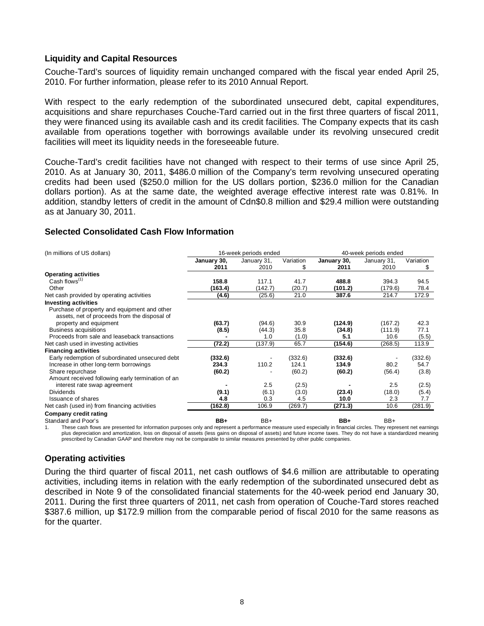## **Liquidity and Capital Resources**

Couche-Tard's sources of liquidity remain unchanged compared with the fiscal year ended April 25, 2010. For further information, please refer to its 2010 Annual Report.

With respect to the early redemption of the subordinated unsecured debt, capital expenditures, acquisitions and share repurchases Couche-Tard carried out in the first three quarters of fiscal 2011, they were financed using its available cash and its credit facilities. The Company expects that its cash available from operations together with borrowings available under its revolving unsecured credit facilities will meet its liquidity needs in the foreseeable future.

Couche-Tard's credit facilities have not changed with respect to their terms of use since April 25, 2010. As at January 30, 2011, \$486.0 million of the Company's term revolving unsecured operating credits had been used (\$250.0 million for the US dollars portion, \$236.0 million for the Canadian dollars portion). As at the same date, the weighted average effective interest rate was 0.81%. In addition, standby letters of credit in the amount of Cdn\$0.8 million and \$29.4 million were outstanding as at January 30, 2011.

# **Selected Consolidated Cash Flow Information**

| (In millions of US dollars)                       |             | 16-week periods ended    |           | 40-week periods ended |             |           |  |
|---------------------------------------------------|-------------|--------------------------|-----------|-----------------------|-------------|-----------|--|
|                                                   | January 30, | January 31,              | Variation | January 30,           | January 31, | Variation |  |
|                                                   | 2011        | 2010                     | \$        | 2011                  | 2010        | \$        |  |
| <b>Operating activities</b>                       |             |                          |           |                       |             |           |  |
| Cash flows $(1)$                                  | 158.8       | 117.1                    | 41.7      | 488.8                 | 394.3       | 94.5      |  |
| Other                                             | (163.4)     | (142.7)                  | (20.7)    | (101.2)               | (179.6)     | 78.4      |  |
| Net cash provided by operating activities         | (4.6)       | (25.6)                   | 21.0      | 387.6                 | 214.7       | 172.9     |  |
| <b>Investing activities</b>                       |             |                          |           |                       |             |           |  |
| Purchase of property and equipment and other      |             |                          |           |                       |             |           |  |
| assets, net of proceeds from the disposal of      |             |                          |           |                       |             |           |  |
| property and equipment                            | (63.7)      | (94.6)                   | 30.9      | (124.9)               | (167.2)     | 42.3      |  |
| Business acquisitions                             | (8.5)       | (44.3)                   | 35.8      | (34.8)                | (111.9)     | 77.1      |  |
| Proceeds from sale and leaseback transactions     |             | 1.0                      | (1.0)     | 5.1                   | 10.6        | (5.5)     |  |
| Net cash used in investing activities             | (72.2)      | (137.9)                  | 65.7      | (154.6)               | (268.5)     | 113.9     |  |
| <b>Financing activities</b>                       |             |                          |           |                       |             |           |  |
| Early redemption of subordinated unsecured debt   | (332.6)     | $\overline{\phantom{a}}$ | (332.6)   | (332.6)               |             | (332.6)   |  |
| Increase in other long-term borrowings            | 234.3       | 110.2                    | 124.1     | 134.9                 | 80.2        | 54.7      |  |
| Share repurchase                                  | (60.2)      |                          | (60.2)    | (60.2)                | (56.4)      | (3.8)     |  |
| Amount received following early termination of an |             |                          |           |                       |             |           |  |
| interest rate swap agreement                      |             | 2.5                      | (2.5)     |                       | 2.5         | (2.5)     |  |
| <b>Dividends</b>                                  | (9.1)       | (6.1)                    | (3.0)     | (23.4)                | (18.0)      | (5.4)     |  |
| Issuance of shares                                | 4.8         | 0.3                      | 4.5       | 10.0                  | 2.3         | 7.7       |  |
| Net cash (used in) from financing activities      | (162.8)     | 106.9                    | (269.7)   | (271.3)               | 10.6        | (281.9)   |  |
| Company credit rating                             |             |                          |           |                       |             |           |  |
| Standard and Poor's                               | BB+         | BB+                      |           | BB+                   | BB+         |           |  |

1. These cash flows are presented for information purposes only and represent a performance measure used especially in financial circles. They represent net earnings plus depreciation and amortization, loss on disposal of assets (less gains on disposal of assets) and future income taxes. They do not have a standardized meaning prescribed by Canadian GAAP and therefore may not be comparable to similar measures presented by other public companies.

# **Operating activities**

During the third quarter of fiscal 2011, net cash outflows of \$4.6 million are attributable to operating activities, including items in relation with the early redemption of the subordinated unsecured debt as described in Note 9 of the consolidated financial statements for the 40-week period end January 30, 2011. During the first three quarters of 2011, net cash from operation of Couche-Tard stores reached \$387.6 million, up \$172.9 million from the comparable period of fiscal 2010 for the same reasons as for the quarter.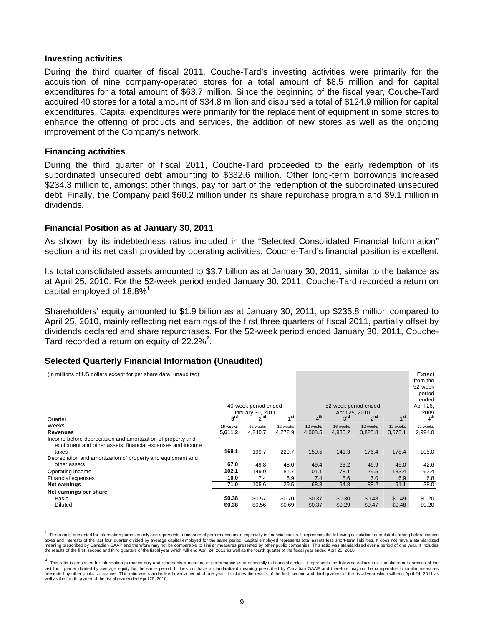## **Investing activities**

During the third quarter of fiscal 2011, Couche-Tard's investing activities were primarily for the acquisition of nine company-operated stores for a total amount of \$8.5 million and for capital expenditures for a total amount of \$63.7 million. Since the beginning of the fiscal year, Couche-Tard acquired 40 stores for a total amount of \$34.8 million and disbursed a total of \$124.9 million for capital expenditures. Capital expenditures were primarily for the replacement of equipment in some stores to enhance the offering of products and services, the addition of new stores as well as the ongoing improvement of the Company's network.

## **Financing activities**

During the third quarter of fiscal 2011, Couche-Tard proceeded to the early redemption of its subordinated unsecured debt amounting to \$332.6 million. Other long-term borrowings increased \$234.3 million to, amongst other things, pay for part of the redemption of the subordinated unsecured debt. Finally, the Company paid \$60.2 million under its share repurchase program and \$9.1 million in dividends.

## **Financial Position as at January 30, 2011**

As shown by its indebtedness ratios included in the "Selected Consolidated Financial Information" section and its net cash provided by operating activities, Couche-Tard's financial position is excellent.

Its total consolidated assets amounted to \$3.7 billion as at January 30, 2011, similar to the balance as at April 25, 2010. For the 52-week period ended January 30, 2011, Couche-Tard recorded a return on capital employed of 18.8% $^{\rm 1}$ .

Shareholders' equity amounted to \$1.9 billion as at January 30, 2011, up \$235.8 million compared to April 25, 2010, mainly reflecting net earnings of the first three quarters of fiscal 2011, partially offset by dividends declared and share repurchases. For the 52-week period ended January 30, 2011, Couche-Tard recorded a return on equity of 22.2%<sup>2</sup>.

**Extract** 

### **Selected Quarterly Financial Information (Unaudited)**

(In millions of US dollars except for per share data, unaudited)

 $\overline{a}$ 

|                                                                                                                                   |                 | 40-week period ended<br>January 30, 2011 |          |                 | 52-week period ended<br>April 25, 2010 |          |                 | from the<br>52-week<br>period<br>ended<br>April 26,<br>2009 |
|-----------------------------------------------------------------------------------------------------------------------------------|-----------------|------------------------------------------|----------|-----------------|----------------------------------------|----------|-----------------|-------------------------------------------------------------|
| Quarter                                                                                                                           | $3^{\text{rd}}$ | 2 <sup>nd</sup>                          | ⊿ st     | 4 <sup>th</sup> | $3^{\text{rd}}$                        | $2^{nd}$ | 4 <sup>St</sup> | 4 <sup>th</sup>                                             |
| Weeks                                                                                                                             | 16 weeks        | 12 weeks                                 | 12 weeks | 12 weeks        | 16 weeks                               | 12 weeks | 12 weeks        | 12 weeks                                                    |
| Revenues                                                                                                                          | 5,611.2         | 4,240.7                                  | 4.272.9  | 4.003.5         | 4,935.2                                | 3,825.8  | 3,675.1         | 2,994.0                                                     |
| Income before depreciation and amortization of property and<br>equipment and other assets, financial expenses and income<br>taxes | 169.1           | 199.7                                    | 229.7    | 150.5           | 141.3                                  | 176.4    | 178.4           | 105.0                                                       |
| Depreciation and amortization of property and equipment and<br>other assets                                                       | 67.0            | 49.8                                     | 48.0     | 49.4            | 63.2                                   | 46.9     | 45.0            | 42.6                                                        |
| Operating income                                                                                                                  | 102.1           | 149.9                                    | 181.7    | 101.1           | 78.1                                   | 129.5    | 133.4           | 62.4                                                        |
| Financial expenses                                                                                                                | 10.0            | 7.4                                      | 6.9      | 7.4             | 8.6                                    | 7.0      | 6.9             | 6.8                                                         |
| Net earnings                                                                                                                      | 71.0            | 105.6                                    | 129.5    | 68.8            | 54.8                                   | 88.2     | 91.1            | 38.0                                                        |
| Net earnings per share                                                                                                            |                 |                                          |          |                 |                                        |          |                 |                                                             |
| Basic                                                                                                                             | \$0.38          | \$0.57                                   | \$0.70   | \$0.37          | \$0.30                                 | \$0.48   | \$0.49          | \$0.20                                                      |
| <b>Diluted</b>                                                                                                                    | \$0.38          | \$0.56                                   | \$0.69   | \$0.37          | \$0.29                                 | \$0.47   | \$0.48          | \$0.20                                                      |

<sup>1</sup> This ratio is presented for information purposes only and represents a measure of performance used especially in financial circles. It represents the following calculation: cumulated earning before income taxes and interests of the last four quarter divided by average capital employed for the same period. Capital employed represents total assets less short-term liabilities. It does not have a standardized meaning prescribed by Canadian GAAP and therefore may not be comparable to similar measures presented by other public companies. This ratio was standardized over a period of one year. It includes<br>the results of the first,

<sup>2</sup> This ratio is presented for information purposes only and represents a measure of performance used especially in financial circles. It represents the following calculation: cumulated net earnings of the last four quarter divided by average equity for the same period. It does not have a standardized meaning prescribed by Canadian GAAP and therefore may not be comparable to similar measures<br>presented by other public compani well as the fourth quarter of the fiscal year ended April 25, 2010.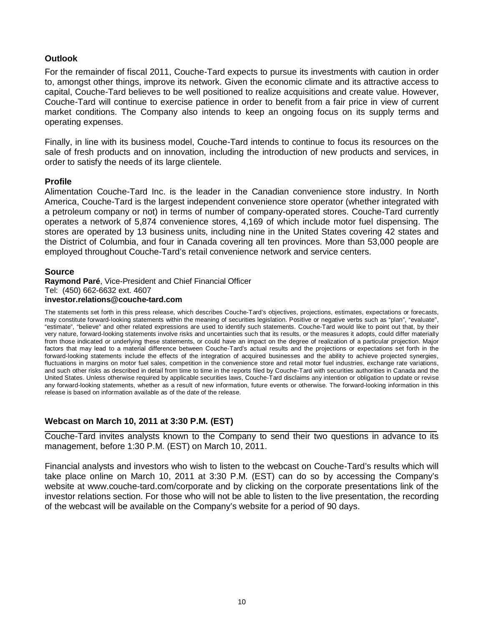# **Outlook**

For the remainder of fiscal 2011, Couche-Tard expects to pursue its investments with caution in order to, amongst other things, improve its network. Given the economic climate and its attractive access to capital, Couche-Tard believes to be well positioned to realize acquisitions and create value. However, Couche-Tard will continue to exercise patience in order to benefit from a fair price in view of current market conditions. The Company also intends to keep an ongoing focus on its supply terms and operating expenses.

Finally, in line with its business model, Couche-Tard intends to continue to focus its resources on the sale of fresh products and on innovation, including the introduction of new products and services, in order to satisfy the needs of its large clientele.

## **Profile**

Alimentation Couche-Tard Inc. is the leader in the Canadian convenience store industry. In North America, Couche-Tard is the largest independent convenience store operator (whether integrated with a petroleum company or not) in terms of number of company-operated stores. Couche-Tard currently operates a network of 5,874 convenience stores, 4,169 of which include motor fuel dispensing. The stores are operated by 13 business units, including nine in the United States covering 42 states and the District of Columbia, and four in Canada covering all ten provinces. More than 53,000 people are employed throughout Couche-Tard's retail convenience network and service centers.

## **Source**

**Raymond Paré**, Vice-President and Chief Financial Officer Tel: (450) 662-6632 ext. 4607 **investor.relations@couche-tard.com**

The statements set forth in this press release, which describes Couche-Tard's objectives, projections, estimates, expectations or forecasts, may constitute forward-looking statements within the meaning of securities legislation. Positive or negative verbs such as "plan", "evaluate", "estimate", "believe" and other related expressions are used to identify such statements. Couche-Tard would like to point out that, by their very nature, forward-looking statements involve risks and uncertainties such that its results, or the measures it adopts, could differ materially from those indicated or underlying these statements, or could have an impact on the degree of realization of a particular projection. Major factors that may lead to a material difference between Couche-Tard's actual results and the projections or expectations set forth in the forward-looking statements include the effects of the integration of acquired businesses and the ability to achieve projected synergies, fluctuations in margins on motor fuel sales, competition in the convenience store and retail motor fuel industries, exchange rate variations, and such other risks as described in detail from time to time in the reports filed by Couche-Tard with securities authorities in Canada and the United States. Unless otherwise required by applicable securities laws, Couche-Tard disclaims any intention or obligation to update or revise any forward-looking statements, whether as a result of new information, future events or otherwise. The forward-looking information in this release is based on information available as of the date of the release.

# **Webcast on March 10, 2011 at 3:30 P.M. (EST)**

Couche-Tard invites analysts known to the Company to send their two questions in advance to its management, before 1:30 P.M. (EST) on March 10, 2011.

Financial analysts and investors who wish to listen to the webcast on Couche-Tard's results which will take place online on March 10, 2011 at 3:30 P.M. (EST) can do so by accessing the Company's website at www.couche-tard.com/corporate and by clicking on the corporate presentations link of the investor relations section. For those who will not be able to listen to the live presentation, the recording of the webcast will be available on the Company's website for a period of 90 days.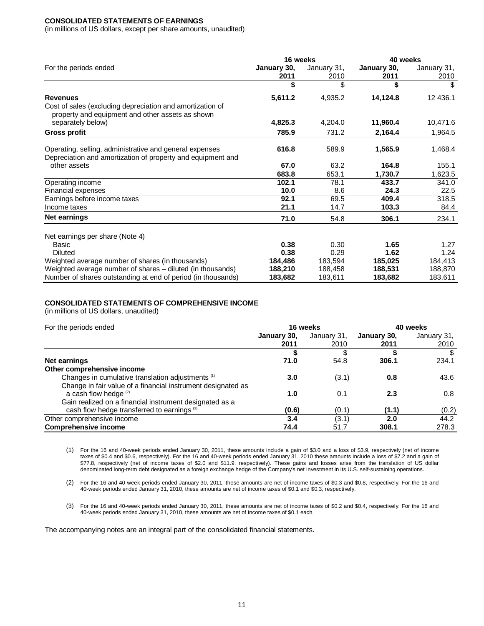### **CONSOLIDATED STATEMENTS OF EARNINGS**

(in millions of US dollars, except per share amounts, unaudited)

|                                                                                                                        |                     | 16 weeks            | 40 weeks            |                     |  |
|------------------------------------------------------------------------------------------------------------------------|---------------------|---------------------|---------------------|---------------------|--|
| For the periods ended                                                                                                  | January 30,<br>2011 | January 31,<br>2010 | January 30,<br>2011 | January 31,<br>2010 |  |
|                                                                                                                        | \$                  | \$                  | \$                  | \$                  |  |
|                                                                                                                        |                     |                     |                     |                     |  |
| <b>Revenues</b>                                                                                                        | 5,611.2             | 4,935.2             | 14,124.8            | 12 436.1            |  |
| Cost of sales (excluding depreciation and amortization of<br>property and equipment and other assets as shown          |                     |                     |                     |                     |  |
| separately below)                                                                                                      | 4,825.3             | 4,204.0             | 11,960.4            | 10,471.6            |  |
| Gross profit                                                                                                           | 785.9               | 731.2               | 2,164.4             | 1,964.5             |  |
| Operating, selling, administrative and general expenses<br>Depreciation and amortization of property and equipment and | 616.8               | 589.9               | 1,565.9             | 1,468.4             |  |
| other assets                                                                                                           | 67.0                | 63.2                | 164.8               | 155.1               |  |
|                                                                                                                        | 683.8               | 653.1               | 1,730.7             | 1,623.5             |  |
| Operating income                                                                                                       | 102.1               | 78.1                | 433.7               | 341.0               |  |
| Financial expenses                                                                                                     | 10.0                | 8.6                 | 24.3                | 22.5                |  |
| Earnings before income taxes                                                                                           | 92.1                | 69.5                | 409.4               | 318.5               |  |
| Income taxes                                                                                                           | 21.1                | 14.7                | 103.3               | 84.4                |  |
| Net earnings                                                                                                           | 71.0                | 54.8                | 306.1               | 234.1               |  |
| Net earnings per share (Note 4)                                                                                        |                     |                     |                     |                     |  |
| Basic                                                                                                                  | 0.38                | 0.30                | 1.65                | 1.27                |  |
| Diluted                                                                                                                | 0.38                | 0.29                | 1.62                | 1.24                |  |
| Weighted average number of shares (in thousands)                                                                       | 184,486             | 183,594             | 185,025             | 184,413             |  |
| Weighted average number of shares - diluted (in thousands)                                                             | 188,210             | 188,458             | 188,531             | 188,870             |  |
| Number of shares outstanding at end of period (in thousands)                                                           | 183,682             | 183,611             | 183,682             | 183,611             |  |

### **CONSOLIDATED STATEMENTS OF COMPREHENSIVE INCOME**

(in millions of US dollars, unaudited)

| For the periods ended                                        |             | 16 weeks    | 40 weeks    |             |  |
|--------------------------------------------------------------|-------------|-------------|-------------|-------------|--|
|                                                              | January 30, | January 31, | January 30, | January 31, |  |
|                                                              | 2011        | 2010        | 2011        | 2010        |  |
|                                                              |             | \$          |             | \$          |  |
| Net earnings                                                 | 71.0        | 54.8        | 306.1       | 234.1       |  |
| Other comprehensive income                                   |             |             |             |             |  |
| Changes in cumulative translation adjustments <sup>(1)</sup> | 3.0         | (3.1)       | 0.8         | 43.6        |  |
| Change in fair value of a financial instrument designated as |             |             |             |             |  |
| a cash flow hedge $(2)$                                      | 1.0         | 0.1         | 2.3         | 0.8         |  |
| Gain realized on a financial instrument designated as a      |             |             |             |             |  |
| cash flow hedge transferred to earnings <sup>(3)</sup>       | (0.6)       | (0.1)       | (1.1)       | (0.2)       |  |
| Other comprehensive income                                   | 3.4         | (3.1)       | 2.0         | 44.2        |  |
| <b>Comprehensive income</b>                                  | 74.4        | 51.7        | 308.1       | 278.3       |  |

(1) For the 16 and 40-week periods ended January 30, 2011, these amounts include a gain of \$3.0 and a loss of \$3.9, respectively (net of income taxes of \$0.4 and \$0.6, respectively). For the 16 and 40-week periods ended January 31, 2010 these amounts include a loss of \$7.2 and a gain of \$77.8, respectively (net of income taxes of \$2.0 and \$11.9, respectively). These gains and losses arise from the translation of US dollar denominated long-term debt designated as a foreign exchange hedge of the Company's net investment in its U.S. self-sustaining operations.

(2) For the 16 and 40-week periods ended January 30, 2011, these amounts are net of income taxes of \$0.3 and \$0.8, respectively. For the 16 and 40-week periods ended January 31, 2010, these amounts are net of income taxes

(3) For the 16 and 40-week periods ended January 30, 2011, these amounts are net of income taxes of \$0.2 and \$0.4, respectively. For the 16 and 40-week periods ended January 31, 2010, these amounts are net of income taxes of \$0.1 each.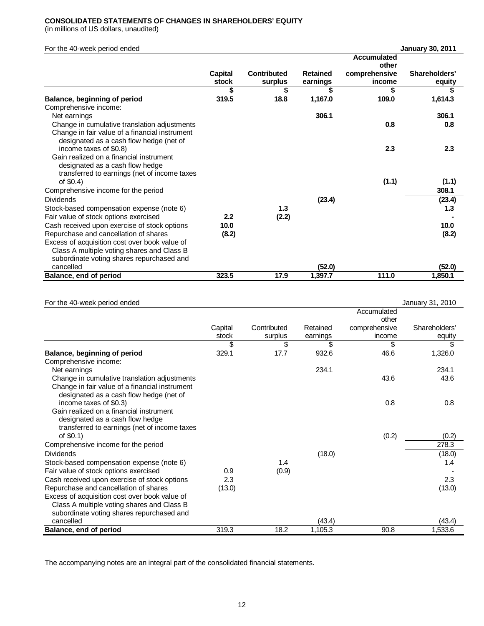### **CONSOLIDATED STATEMENTS OF CHANGES IN SHAREHOLDERS' EQUITY**

(in millions of US dollars, unaudited)

| For the 40-week period ended                                                              |                         |                               |                             |                             | <b>January 30, 2011</b> |
|-------------------------------------------------------------------------------------------|-------------------------|-------------------------------|-----------------------------|-----------------------------|-------------------------|
|                                                                                           |                         |                               |                             | <b>Accumulated</b><br>other |                         |
|                                                                                           | <b>Capital</b><br>stock | <b>Contributed</b><br>surplus | <b>Retained</b><br>earnings | comprehensive<br>income     | Shareholders'<br>equity |
|                                                                                           | \$                      | \$                            | \$                          | \$                          |                         |
| Balance, beginning of period                                                              | 319.5                   | 18.8                          | 1,167.0                     | 109.0                       | 1,614.3                 |
| Comprehensive income:                                                                     |                         |                               |                             |                             |                         |
| Net earnings                                                                              |                         |                               | 306.1                       |                             | 306.1                   |
| Change in cumulative translation adjustments                                              |                         |                               |                             | 0.8                         | 0.8                     |
| Change in fair value of a financial instrument<br>designated as a cash flow hedge (net of |                         |                               |                             |                             |                         |
| income taxes of \$0.8)                                                                    |                         |                               |                             | 2.3                         | 2.3                     |
| Gain realized on a financial instrument                                                   |                         |                               |                             |                             |                         |
| designated as a cash flow hedge                                                           |                         |                               |                             |                             |                         |
| transferred to earnings (net of income taxes                                              |                         |                               |                             |                             |                         |
| of $$0.4)$                                                                                |                         |                               |                             | (1.1)                       | (1.1)                   |
| Comprehensive income for the period                                                       |                         |                               |                             |                             | 308.1                   |
| <b>Dividends</b>                                                                          |                         |                               | (23.4)                      |                             | (23.4)                  |
| Stock-based compensation expense (note 6)                                                 |                         | 1.3                           |                             |                             | 1.3                     |
| Fair value of stock options exercised                                                     | 2.2                     | (2.2)                         |                             |                             |                         |
| Cash received upon exercise of stock options                                              | 10.0                    |                               |                             |                             | 10.0                    |
| Repurchase and cancellation of shares                                                     | (8.2)                   |                               |                             |                             | (8.2)                   |
| Excess of acquisition cost over book value of                                             |                         |                               |                             |                             |                         |
| Class A multiple voting shares and Class B                                                |                         |                               |                             |                             |                         |
| subordinate voting shares repurchased and                                                 |                         |                               |                             |                             |                         |
| cancelled                                                                                 |                         |                               | (52.0)                      |                             | (52.0)                  |
| Balance, end of period                                                                    | 323.5                   | 17.9                          | 1,397.7                     | 111.0                       | 1,850.1                 |

| For the 40-week period ended                   |         |             |          |               | January 31, 2010 |
|------------------------------------------------|---------|-------------|----------|---------------|------------------|
|                                                |         |             |          | Accumulated   |                  |
|                                                |         |             |          | other         |                  |
|                                                | Capital | Contributed | Retained | comprehensive | Shareholders'    |
|                                                | stock   | surplus     | earnings | income        | equity           |
|                                                | \$      | \$          | \$       | \$            | \$               |
| Balance, beginning of period                   | 329.1   | 17.7        | 932.6    | 46.6          | 1,326.0          |
| Comprehensive income:                          |         |             |          |               |                  |
| Net earnings                                   |         |             | 234.1    |               | 234.1            |
| Change in cumulative translation adjustments   |         |             |          | 43.6          | 43.6             |
| Change in fair value of a financial instrument |         |             |          |               |                  |
| designated as a cash flow hedge (net of        |         |             |          |               |                  |
| income taxes of \$0.3)                         |         |             |          | 0.8           | 0.8              |
| Gain realized on a financial instrument        |         |             |          |               |                  |
| designated as a cash flow hedge                |         |             |          |               |                  |
| transferred to earnings (net of income taxes   |         |             |          |               |                  |
| of $$0.1$ )                                    |         |             |          | (0.2)         | (0.2)            |
| Comprehensive income for the period            |         |             |          |               | 278.3            |
| <b>Dividends</b>                               |         |             | (18.0)   |               | (18.0)           |
| Stock-based compensation expense (note 6)      |         | 1.4         |          |               | 1.4              |
| Fair value of stock options exercised          | 0.9     | (0.9)       |          |               |                  |
| Cash received upon exercise of stock options   | 2.3     |             |          |               | 2.3              |
| Repurchase and cancellation of shares          | (13.0)  |             |          |               | (13.0)           |
| Excess of acquisition cost over book value of  |         |             |          |               |                  |
| Class A multiple voting shares and Class B     |         |             |          |               |                  |
| subordinate voting shares repurchased and      |         |             |          |               |                  |
| cancelled                                      |         |             | (43.4)   |               | (43.4)           |
| Balance, end of period                         | 319.3   | 18.2        | 1,105.3  | 90.8          | 1,533.6          |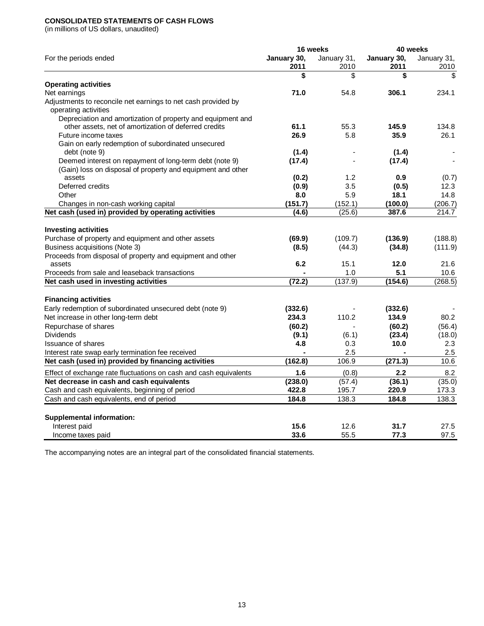### **CONSOLIDATED STATEMENTS OF CASH FLOWS**

(in millions of US dollars, unaudited)

|                                                                                                          |                     | 16 weeks            | 40 weeks            |                     |  |
|----------------------------------------------------------------------------------------------------------|---------------------|---------------------|---------------------|---------------------|--|
| For the periods ended                                                                                    | January 30,<br>2011 | January 31,<br>2010 | January 30,<br>2011 | January 31,<br>2010 |  |
|                                                                                                          | \$                  | \$                  | \$                  | \$                  |  |
| <b>Operating activities</b>                                                                              |                     |                     |                     |                     |  |
| Net earnings                                                                                             | 71.0                | 54.8                | 306.1               | 234.1               |  |
| Adjustments to reconcile net earnings to net cash provided by                                            |                     |                     |                     |                     |  |
| operating activities                                                                                     |                     |                     |                     |                     |  |
| Depreciation and amortization of property and equipment and                                              |                     |                     |                     |                     |  |
| other assets, net of amortization of deferred credits                                                    | 61.1                | 55.3                | 145.9               | 134.8               |  |
| Future income taxes                                                                                      | 26.9                | 5.8                 | 35.9                | 26.1                |  |
| Gain on early redemption of subordinated unsecured                                                       |                     |                     |                     |                     |  |
| debt (note 9)                                                                                            | (1.4)               | ÷,                  | (1.4)               |                     |  |
| Deemed interest on repayment of long-term debt (note 9)                                                  | (17.4)              |                     | (17.4)              |                     |  |
| (Gain) loss on disposal of property and equipment and other                                              |                     |                     |                     |                     |  |
| assets                                                                                                   | (0.2)               | 1.2                 | 0.9                 | (0.7)               |  |
| Deferred credits                                                                                         | (0.9)               | 3.5                 | (0.5)               | 12.3                |  |
| Other                                                                                                    | 8.0                 | 5.9                 | 18.1                | 14.8                |  |
| Changes in non-cash working capital                                                                      | (151.7)             | (152.1)             | (100.0)             | (206.7)             |  |
| Net cash (used in) provided by operating activities                                                      | (4.6)               | (25.6)              | 387.6               | 214.7               |  |
| <b>Investing activities</b>                                                                              |                     |                     |                     |                     |  |
| Purchase of property and equipment and other assets                                                      | (69.9)              | (109.7)             | (136.9)             | (188.8)             |  |
| Business acquisitions (Note 3)                                                                           | (8.5)               | (44.3)              | (34.8)              | (111.9)             |  |
| Proceeds from disposal of property and equipment and other                                               |                     |                     |                     |                     |  |
| assets                                                                                                   | 6.2                 | 15.1                | 12.0                | 21.6                |  |
| Proceeds from sale and leaseback transactions                                                            |                     | 1.0                 | 5.1                 | 10.6                |  |
| Net cash used in investing activities                                                                    | (72.2)              | (137.9)             | (154.6)             | (268.5)             |  |
| <b>Financing activities</b>                                                                              |                     |                     |                     |                     |  |
| Early redemption of subordinated unsecured debt (note 9)                                                 | (332.6)             |                     | (332.6)             |                     |  |
| Net increase in other long-term debt                                                                     | 234.3               | 110.2               | 134.9               | 80.2                |  |
|                                                                                                          |                     |                     |                     |                     |  |
| Repurchase of shares<br><b>Dividends</b>                                                                 | (60.2)              |                     | (60.2)              | (56.4)              |  |
| <b>Issuance of shares</b>                                                                                | (9.1)<br>4.8        | (6.1)<br>0.3        | (23.4)<br>10.0      | (18.0)<br>2.3       |  |
|                                                                                                          |                     | 2.5                 |                     | 2.5                 |  |
| Interest rate swap early termination fee received<br>Net cash (used in) provided by financing activities | (162.8)             | 106.9               | (271.3)             |                     |  |
|                                                                                                          | 1.6                 |                     | 2.2                 | 10.6<br>8.2         |  |
| Effect of exchange rate fluctuations on cash and cash equivalents                                        |                     | (0.8)               |                     |                     |  |
| Net decrease in cash and cash equivalents                                                                | (238.0)             | (57.4)              | (36.1)              | (35.0)              |  |
| Cash and cash equivalents, beginning of period                                                           | 422.8               | 195.7               | 220.9               | 173.3               |  |
| Cash and cash equivalents, end of period                                                                 | 184.8               | 138.3               | 184.8               | 138.3               |  |
| <b>Supplemental information:</b>                                                                         |                     |                     |                     |                     |  |
| Interest paid                                                                                            | 15.6                | 12.6                | 31.7                | 27.5                |  |
| Income taxes paid                                                                                        | 33.6                | 55.5                | 77.3                | 97.5                |  |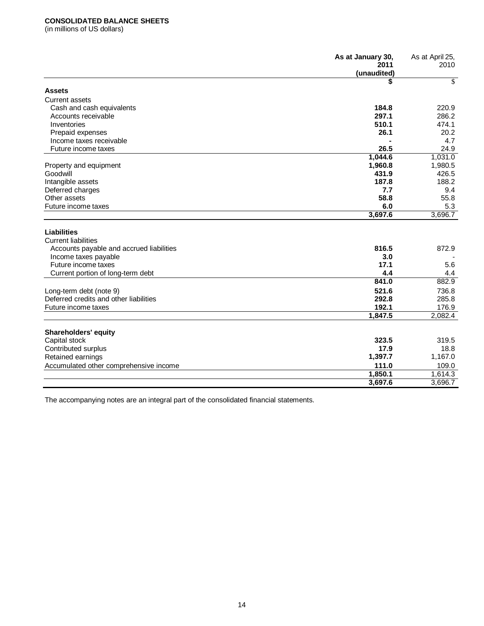### **CONSOLIDATED BALANCE SHEETS**

(in millions of US dollars)

|                                                                  | As at January 30,<br>2011<br>(unaudited) | As at April 25,<br>2010 |
|------------------------------------------------------------------|------------------------------------------|-------------------------|
|                                                                  | \$                                       | \$                      |
| <b>Assets</b>                                                    |                                          |                         |
| Current assets                                                   |                                          |                         |
| Cash and cash equivalents                                        | 184.8                                    | 220.9                   |
| Accounts receivable                                              | 297.1                                    | 286.2                   |
| Inventories                                                      | 510.1                                    | 474.1                   |
| Prepaid expenses                                                 | 26.1                                     | 20.2                    |
| Income taxes receivable                                          |                                          | 4.7                     |
| Future income taxes                                              | 26.5                                     | 24.9                    |
|                                                                  | 1,044.6                                  | 1,031.0                 |
| Property and equipment                                           | 1,960.8                                  | 1,980.5                 |
| Goodwill                                                         | 431.9<br>187.8                           | 426.5<br>188.2          |
| Intangible assets                                                | 7.7                                      |                         |
| Deferred charges<br>Other assets                                 | 58.8                                     | 9.4<br>55.8             |
| Future income taxes                                              | 6.0                                      | 5.3                     |
|                                                                  | 3,697.6                                  | 3,696.7                 |
|                                                                  |                                          |                         |
| <b>Liabilities</b>                                               |                                          |                         |
| <b>Current liabilities</b>                                       |                                          |                         |
|                                                                  | 816.5                                    | 872.9                   |
| Accounts payable and accrued liabilities<br>Income taxes payable | 3.0                                      |                         |
| Future income taxes                                              | 17.1                                     | 5.6                     |
| Current portion of long-term debt                                | 4.4                                      | 4.4                     |
|                                                                  | 841.0                                    | 882.9                   |
|                                                                  |                                          |                         |
| Long-term debt (note 9)                                          | 521.6<br>292.8                           | 736.8                   |
| Deferred credits and other liabilities<br>Future income taxes    | 192.1                                    | 285.8<br>176.9          |
|                                                                  |                                          |                         |
|                                                                  | 1,847.5                                  | 2,082.4                 |
|                                                                  |                                          |                         |
| Shareholders' equity                                             | 323.5                                    | 319.5                   |
| Capital stock                                                    | 17.9                                     | 18.8                    |
| Contributed surplus                                              | 1,397.7                                  | 1,167.0                 |
| Retained earnings                                                | 111.0                                    | 109.0                   |
| Accumulated other comprehensive income                           | 1,850.1                                  | 1,614.3                 |
|                                                                  |                                          |                         |
|                                                                  | 3.697.6                                  | 3,696.7                 |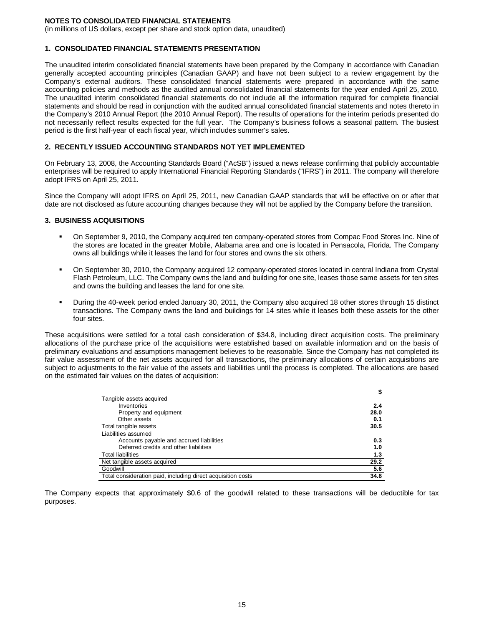(in millions of US dollars, except per share and stock option data, unaudited)

### **1. CONSOLIDATED FINANCIAL STATEMENTS PRESENTATION**

The unaudited interim consolidated financial statements have been prepared by the Company in accordance with Canadian generally accepted accounting principles (Canadian GAAP) and have not been subject to a review engagement by the Company's external auditors. These consolidated financial statements were prepared in accordance with the same accounting policies and methods as the audited annual consolidated financial statements for the year ended April 25, 2010. The unaudited interim consolidated financial statements do not include all the information required for complete financial statements and should be read in conjunction with the audited annual consolidated financial statements and notes thereto in the Company's 2010 Annual Report (the 2010 Annual Report). The results of operations for the interim periods presented do not necessarily reflect results expected for the full year. The Company's business follows a seasonal pattern. The busiest period is the first half-year of each fiscal year, which includes summer's sales.

### **2. RECENTLY ISSUED ACCOUNTING STANDARDS NOT YET IMPLEMENTED**

On February 13, 2008, the Accounting Standards Board ("AcSB") issued a news release confirming that publicly accountable enterprises will be required to apply International Financial Reporting Standards ("IFRS") in 2011. The company will therefore adopt IFRS on April 25, 2011.

Since the Company will adopt IFRS on April 25, 2011, new Canadian GAAP standards that will be effective on or after that date are not disclosed as future accounting changes because they will not be applied by the Company before the transition.

### **3. BUSINESS ACQUISITIONS**

- On September 9, 2010, the Company acquired ten company-operated stores from Compac Food Stores Inc. Nine of the stores are located in the greater Mobile, Alabama area and one is located in Pensacola, Florida. The Company owns all buildings while it leases the land for four stores and owns the six others.
- On September 30, 2010, the Company acquired 12 company-operated stores located in central Indiana from Crystal Flash Petroleum, LLC. The Company owns the land and building for one site, leases those same assets for ten sites and owns the building and leases the land for one site.
- During the 40-week period ended January 30, 2011, the Company also acquired 18 other stores through 15 distinct transactions. The Company owns the land and buildings for 14 sites while it leases both these assets for the other four sites.

These acquisitions were settled for a total cash consideration of \$34.8, including direct acquisition costs. The preliminary allocations of the purchase price of the acquisitions were established based on available information and on the basis of preliminary evaluations and assumptions management believes to be reasonable. Since the Company has not completed its fair value assessment of the net assets acquired for all transactions, the preliminary allocations of certain acquisitions are subject to adjustments to the fair value of the assets and liabilities until the process is completed. The allocations are based on the estimated fair values on the dates of acquisition:

|                                                              | \$   |
|--------------------------------------------------------------|------|
| Tangible assets acquired                                     |      |
| Inventories                                                  | 2.4  |
| Property and equipment                                       | 28.0 |
| Other assets                                                 | 0.1  |
| Total tangible assets                                        | 30.5 |
| Liabilities assumed                                          |      |
| Accounts payable and accrued liabilities                     | 0.3  |
| Deferred credits and other liabilities                       | 1.0  |
| <b>Total liabilities</b>                                     | 1.3  |
| Net tangible assets acquired                                 | 29.2 |
| Goodwill                                                     | 5.6  |
| Total consideration paid, including direct acquisition costs | 34.8 |

The Company expects that approximately \$0.6 of the goodwill related to these transactions will be deductible for tax purposes.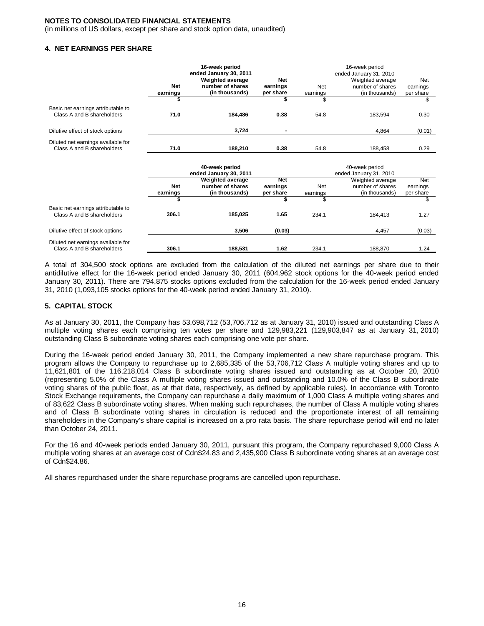(in millions of US dollars, except per share and stock option data, unaudited)

### **4. NET EARNINGS PER SHARE**

|                                    | 16-week period<br>ended January 30, 2011 |                         |            | 16-week period<br>ended January 31, 2010 |                  |           |  |
|------------------------------------|------------------------------------------|-------------------------|------------|------------------------------------------|------------------|-----------|--|
|                                    |                                          |                         |            |                                          |                  |           |  |
|                                    |                                          | <b>Weighted average</b> | <b>Net</b> |                                          | Weighted average | Net       |  |
|                                    | Net                                      | number of shares        | earnings   | <b>Net</b>                               | number of shares | earnings  |  |
|                                    | earnings                                 | (in thousands)          | per share  | earnings                                 | (in thousands)   | per share |  |
|                                    |                                          |                         | \$         | S                                        |                  | \$        |  |
| Basic net earnings attributable to |                                          |                         |            |                                          |                  |           |  |
| Class A and B shareholders         | 71.0                                     | 184,486                 | 0.38       | 54.8                                     | 183,594          | 0.30      |  |
| Dilutive effect of stock options   |                                          | 3,724                   |            |                                          | 4.864            | (0.01)    |  |
| Diluted net earnings available for |                                          |                         |            |                                          |                  |           |  |
| Class A and B shareholders         | 71.0                                     | 188,210                 | 0.38       | 54.8                                     | 188,458          | 0.29      |  |
|                                    |                                          |                         |            |                                          |                  |           |  |
|                                    |                                          | 40-week period          |            | 40-week period                           |                  |           |  |
|                                    | ended January 30, 2011                   |                         |            | ended January 31, 2010                   |                  |           |  |
|                                    | <b>Weighted average</b>                  |                         | <b>Net</b> |                                          | Weighted average | Net       |  |
|                                    | <b>Net</b>                               | number of shares        | earnings   | Net                                      | number of shares | earnings  |  |
|                                    | earnings                                 | (in thousands)          | per share  | earnings                                 | (in thousands)   | per share |  |
|                                    | \$                                       |                         | \$         | \$                                       |                  | \$        |  |
| Basic net earnings attributable to |                                          |                         |            |                                          |                  |           |  |
| Class A and B shareholders         | 306.1                                    | 185,025                 | 1.65       | 234.1                                    | 184,413          | 1.27      |  |
|                                    |                                          |                         |            |                                          |                  |           |  |
| Dilutive effect of stock options   |                                          | 3,506                   | (0.03)     |                                          | 4,457            | (0.03)    |  |
| Diluted net earnings available for |                                          |                         |            |                                          |                  |           |  |
| Class A and B shareholders         | 306.1                                    | 188,531                 | 1.62       | 234.1                                    | 188,870          | 1.24      |  |

A total of 304,500 stock options are excluded from the calculation of the diluted net earnings per share due to their antidilutive effect for the 16-week period ended January 30, 2011 (604,962 stock options for the 40-week period ended January 30, 2011). There are 794,875 stocks options excluded from the calculation for the 16-week period ended January 31, 2010 (1,093,105 stocks options for the 40-week period ended January 31, 2010).

### **5. CAPITAL STOCK**

As at January 30, 2011, the Company has 53,698,712 (53,706,712 as at January 31, 2010) issued and outstanding Class A multiple voting shares each comprising ten votes per share and 129,983,221 (129,903,847 as at January 31, 2010) outstanding Class B subordinate voting shares each comprising one vote per share.

During the 16-week period ended January 30, 2011, the Company implemented a new share repurchase program. This program allows the Company to repurchase up to 2,685,335 of the 53,706,712 Class A multiple voting shares and up to 11,621,801 of the 116,218,014 Class B subordinate voting shares issued and outstanding as at October 20, 2010 (representing 5.0% of the Class A multiple voting shares issued and outstanding and 10.0% of the Class B subordinate voting shares of the public float, as at that date, respectively, as defined by applicable rules). In accordance with Toronto Stock Exchange requirements, the Company can repurchase a daily maximum of 1,000 Class A multiple voting shares and of 83,622 Class B subordinate voting shares. When making such repurchases, the number of Class A multiple voting shares and of Class B subordinate voting shares in circulation is reduced and the proportionate interest of all remaining shareholders in the Company's share capital is increased on a pro rata basis. The share repurchase period will end no later than October 24, 2011.

For the 16 and 40-week periods ended January 30, 2011, pursuant this program, the Company repurchased 9,000 Class A multiple voting shares at an average cost of Cdn\$24.83 and 2,435,900 Class B subordinate voting shares at an average cost of Cdn\$24.86.

All shares repurchased under the share repurchase programs are cancelled upon repurchase.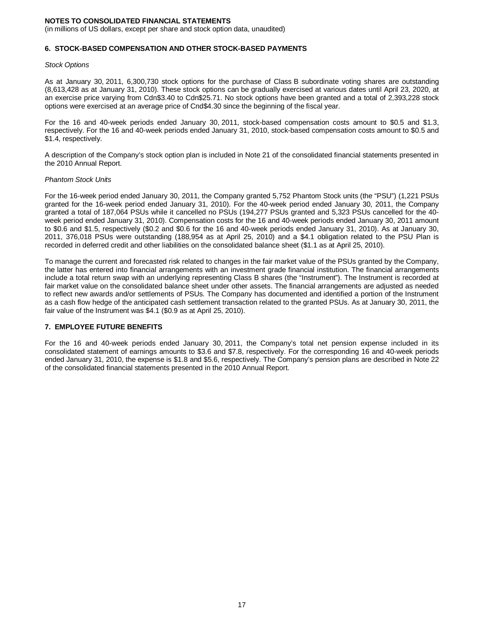(in millions of US dollars, except per share and stock option data, unaudited)

#### **6. STOCK-BASED COMPENSATION AND OTHER STOCK-BASED PAYMENTS**

#### *Stock Options*

As at January 30, 2011, 6,300,730 stock options for the purchase of Class B subordinate voting shares are outstanding (8,613,428 as at January 31, 2010). These stock options can be gradually exercised at various dates until April 23, 2020, at an exercise price varying from Cdn\$3.40 to Cdn\$25.71. No stock options have been granted and a total of 2,393,228 stock options were exercised at an average price of Cnd\$4.30 since the beginning of the fiscal year.

For the 16 and 40-week periods ended January 30, 2011, stock-based compensation costs amount to \$0.5 and \$1.3, respectively. For the 16 and 40-week periods ended January 31, 2010, stock-based compensation costs amount to \$0.5 and \$1.4, respectively.

A description of the Company's stock option plan is included in Note 21 of the consolidated financial statements presented in the 2010 Annual Report.

#### *Phantom Stock Units*

For the 16-week period ended January 30, 2011, the Company granted 5,752 Phantom Stock units (the "PSU") (1,221 PSUs granted for the 16-week period ended January 31, 2010). For the 40-week period ended January 30, 2011, the Company granted a total of 187,064 PSUs while it cancelled no PSUs (194,277 PSUs granted and 5,323 PSUs cancelled for the 40 week period ended January 31, 2010). Compensation costs for the 16 and 40-week periods ended January 30, 2011 amount to \$0.6 and \$1.5, respectively (\$0.2 and \$0.6 for the 16 and 40-week periods ended January 31, 2010). As at January 30, 2011, 376,018 PSUs were outstanding (188,954 as at April 25, 2010) and a \$4.1 obligation related to the PSU Plan is recorded in deferred credit and other liabilities on the consolidated balance sheet (\$1.1 as at April 25, 2010).

To manage the current and forecasted risk related to changes in the fair market value of the PSUs granted by the Company, the latter has entered into financial arrangements with an investment grade financial institution. The financial arrangements include a total return swap with an underlying representing Class B shares (the "Instrument"). The Instrument is recorded at fair market value on the consolidated balance sheet under other assets. The financial arrangements are adjusted as needed to reflect new awards and/or settlements of PSUs. The Company has documented and identified a portion of the Instrument as a cash flow hedge of the anticipated cash settlement transaction related to the granted PSUs. As at January 30, 2011, the fair value of the Instrument was \$4.1 (\$0.9 as at April 25, 2010).

### **7. EMPLOYEE FUTURE BENEFITS**

For the 16 and 40-week periods ended January 30, 2011, the Company's total net pension expense included in its consolidated statement of earnings amounts to \$3.6 and \$7.8, respectively. For the corresponding 16 and 40-week periods ended January 31, 2010, the expense is \$1.8 and \$5.6, respectively. The Company's pension plans are described in Note 22 of the consolidated financial statements presented in the 2010 Annual Report.